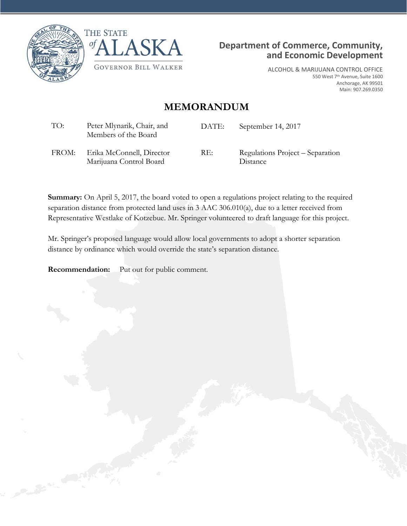





ALCOHOL & MARIJUANA CONTROL OFFICE 550 West 7th Avenue, Suite 1600 Anchorage, AK 99501 Main: 907.269.0350

## **MEMORANDUM**

| TO:   | Peter Mlynarik, Chair, and<br>Members of the Board   | DATE: | September 14, 2017                           |
|-------|------------------------------------------------------|-------|----------------------------------------------|
| FROM: | Erika McConnell, Director<br>Marijuana Control Board | RE:   | Regulations Project – Separation<br>Distance |

**Summary:** On April 5, 2017, the board voted to open a regulations project relating to the required separation distance from protected land uses in 3 AAC 306.010(a), due to a letter received from Representative Westlake of Kotzebue. Mr. Springer volunteered to draft language for this project.

Mr. Springer's proposed language would allow local governments to adopt a shorter separation distance by ordinance which would override the state's separation distance.

**Recommendation:** Put out for public comment.